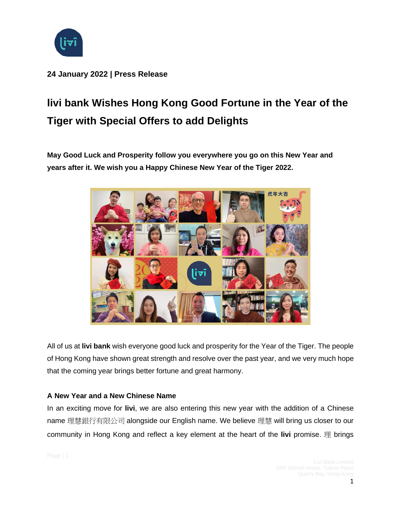

**24 January 2022 | Press Release**

# **livi bank Wishes Hong Kong Good Fortune in the Year of the Tiger with Special Offers to add Delights**

**May Good Luck and Prosperity follow you everywhere you go on this New Year and years after it. We wish you a Happy Chinese New Year of the Tiger 2022.**



All of us at **livi bank** wish everyone good luck and prosperity for the Year of the Tiger. The people of Hong Kong have shown great strength and resolve over the past year, and we very much hope that the coming year brings better fortune and great harmony.

## **A New Year and a New Chinese Name**

In an exciting move for **livi**, we are also entering this new year with the addition of a Chinese name 理慧銀行有限公司 alongside our English name. We believe 理慧 will bring us closer to our community in Hong Kong and reflect a key element at the heart of the **livi** promise. 理 brings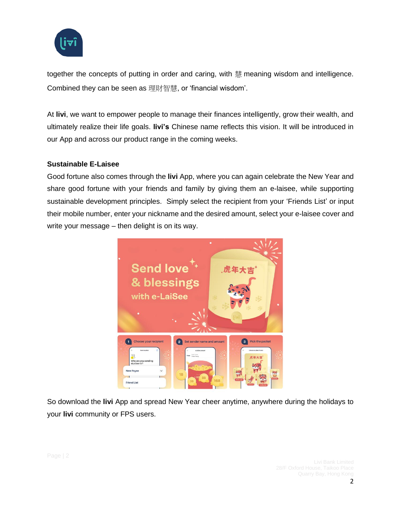

together the concepts of putting in order and caring, with 慧 meaning wisdom and intelligence. Combined they can be seen as 理財智慧, or 'financial wisdom'.

At **livi**, we want to empower people to manage their finances intelligently, grow their wealth, and ultimately realize their life goals. **livi's** Chinese name reflects this vision. It will be introduced in our App and across our product range in the coming weeks.

#### **Sustainable E-Laisee**

Good fortune also comes through the **livi** App, where you can again celebrate the New Year and share good fortune with your friends and family by giving them an e-laisee, while supporting sustainable development principles. Simply select the recipient from your 'Friends List' or input their mobile number, enter your nickname and the desired amount, select your e-laisee cover and write your message – then delight is on its way.



So download the **livi** App and spread New Year cheer anytime, anywhere during the holidays to your **livi** community or FPS users.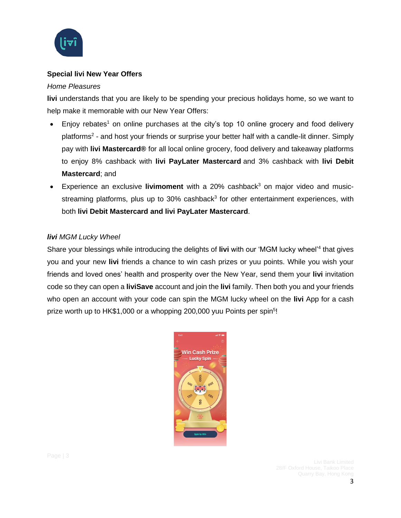

## **Special livi New Year Offers**

#### *Home Pleasures*

**livi** understands that you are likely to be spending your precious holidays home, so we want to help make it memorable with our New Year Offers:

- Enjoy rebates<sup>1</sup> on online purchases at the city's top 10 online grocery and food delivery platforms<sup>2</sup> - and host your friends or surprise your better half with a candle-lit dinner. Simply pay with **livi Mastercard®** for all local online grocery, food delivery and takeaway platforms to enjoy 8% cashback with **livi PayLater Mastercard** and 3% cashback with **livi Debit Mastercard**; and
- Experience an exclusive **livimoment** with a 20% cashback<sup>3</sup> on major video and musicstreaming platforms, plus up to 30% cashback<sup>3</sup> for other entertainment experiences, with both **livi Debit Mastercard and livi PayLater Mastercard**.

# *livi MGM Lucky Wheel*

Share your blessings while introducing the delights of livi with our 'MGM lucky wheel'<sup>4</sup> that gives you and your new **livi** friends a chance to win cash prizes or yuu points. While you wish your friends and loved ones' health and prosperity over the New Year, send them your **livi** invitation code so they can open a **liviSave** account and join the **livi** family. Then both you and your friends who open an account with your code can spin the MGM lucky wheel on the **livi** App for a cash prize worth up to HK\$1,000 or a whopping 200,000 yuu Points per spin<sup>5</sup>!

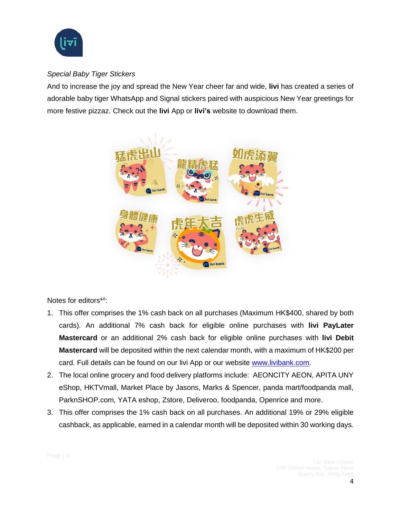

# *Special Baby Tiger Stickers*

And to increase the joy and spread the New Year cheer far and wide, **livi** has created a series of adorable baby tiger WhatsApp and Signal stickers paired with auspicious New Year greetings for more festive pizzaz. Check out the **livi** App or **livi's** website to download them.



Notes for editors\*#:

- 1. This offer comprises the 1% cash back on all purchases (Maximum HK\$400, shared by both cards). An additional 7% cash back for eligible online purchases with **livi PayLater Mastercard** or an additional 2% cash back for eligible online purchases with **livi Debit Mastercard** will be deposited within the next calendar month, with a maximum of HK\$200 per card. Full details can be found on our livi App or our website [www.livibank.com.](http://www.livibank.com/)
- 2. The local online grocery and food delivery platforms include: AEONCITY AEON, APITA UNY eShop, HKTVmall, Market Place by Jasons, Marks & Spencer, panda mart/foodpanda mall, ParknSHOP.com, YATA eshop, Zstore, Deliveroo, foodpanda, Openrice and more.
- 3. This offer comprises the 1% cash back on all purchases. An additional 19% or 29% eligible cashback, as applicable, earned in a calendar month will be deposited within 30 working days.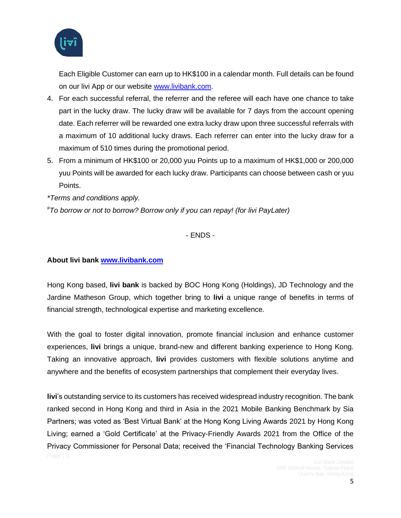

Each Eligible Customer can earn up to HK\$100 in a calendar month. Full details can be found on our livi App or our website [www.livibank.com.](http://www.livibank.com/)

- 4. For each successful referral, the referrer and the referee will each have one chance to take part in the lucky draw. The lucky draw will be available for 7 days from the account opening date. Each referrer will be rewarded one extra lucky draw upon three successful referrals with a maximum of 10 additional lucky draws. Each referrer can enter into the lucky draw for a maximum of 510 times during the promotional period.
- 5. From a minimum of HK\$100 or 20,000 yuu Points up to a maximum of HK\$1,000 or 200,000 yuu Points will be awarded for each lucky draw. Participants can choose between cash or yuu Points.

*\*Terms and conditions apply.* 

*#To borrow or not to borrow? Borrow only if you can repay! (for livi PayLater)*

- ENDS -

#### **About livi bank [www.livibank.com](http://www.livibank.com/)**

Hong Kong based, **livi bank** is backed by BOC Hong Kong (Holdings), JD Technology and the Jardine Matheson Group, which together bring to **livi** a unique range of benefits in terms of financial strength, technological expertise and marketing excellence.

With the goal to foster digital innovation, promote financial inclusion and enhance customer experiences, **livi** brings a unique, brand-new and different banking experience to Hong Kong. Taking an innovative approach, **livi** provides customers with flexible solutions anytime and anywhere and the benefits of ecosystem partnerships that complement their everyday lives.

**livi**'s outstanding service to its customers has received widespread industry recognition. The bank ranked second in Hong Kong and third in Asia in the 2021 Mobile Banking Benchmark by Sia Partners; was voted as 'Best Virtual Bank' at the Hong Kong Living Awards 2021 by Hong Kong Living; earned a 'Gold Certificate' at the Privacy-Friendly Awards 2021 from the Office of the Privacy Commissioner for Personal Data; received the 'Financial Technology Banking Services